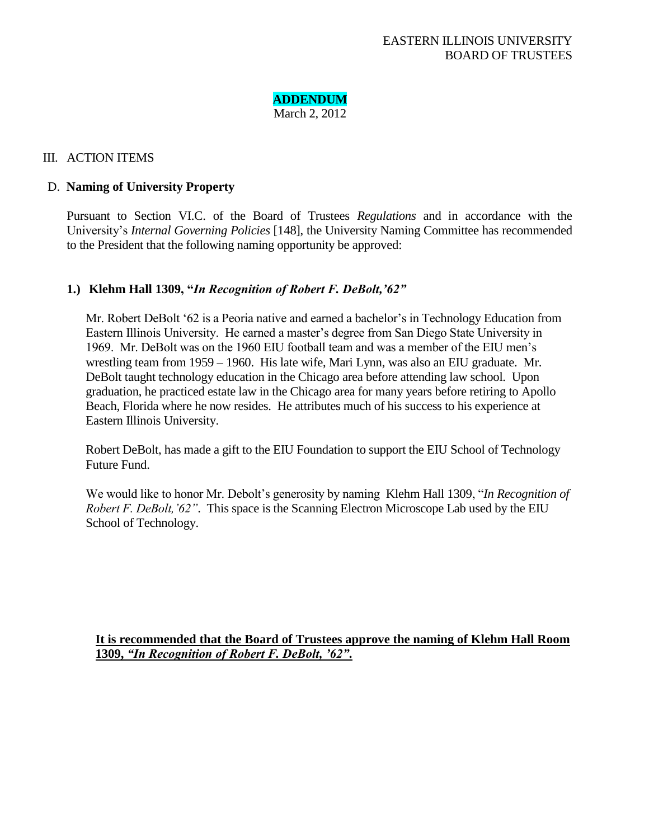# **ADDENDUM**

March 2, 2012

# III. ACTION ITEMS

# D. **Naming of University Property**

Pursuant to Section VI.C. of the Board of Trustees *Regulations* and in accordance with the University's *Internal Governing Policies* [148], the University Naming Committee has recommended to the President that the following naming opportunity be approved:

# **1.) Klehm Hall 1309, "***In Recognition of Robert F. DeBolt,"62"*

Mr. Robert DeBolt '62 is a Peoria native and earned a bachelor's in Technology Education from Eastern Illinois University. He earned a master's degree from San Diego State University in 1969. Mr. DeBolt was on the 1960 EIU football team and was a member of the EIU men's wrestling team from 1959 – 1960. His late wife, Mari Lynn, was also an EIU graduate. Mr. DeBolt taught technology education in the Chicago area before attending law school. Upon graduation, he practiced estate law in the Chicago area for many years before retiring to Apollo Beach, Florida where he now resides. He attributes much of his success to his experience at Eastern Illinois University.

Robert DeBolt, has made a gift to the EIU Foundation to support the EIU School of Technology Future Fund.

We would like to honor Mr. Debolt's generosity by naming Klehm Hall 1309, "*In Recognition of Robert F. DeBolt,"62"*. This space is the Scanning Electron Microscope Lab used by the EIU School of Technology.

**It is recommended that the Board of Trustees approve the naming of Klehm Hall Room 1309,** *"In Recognition of Robert F. DeBolt, "62"***.**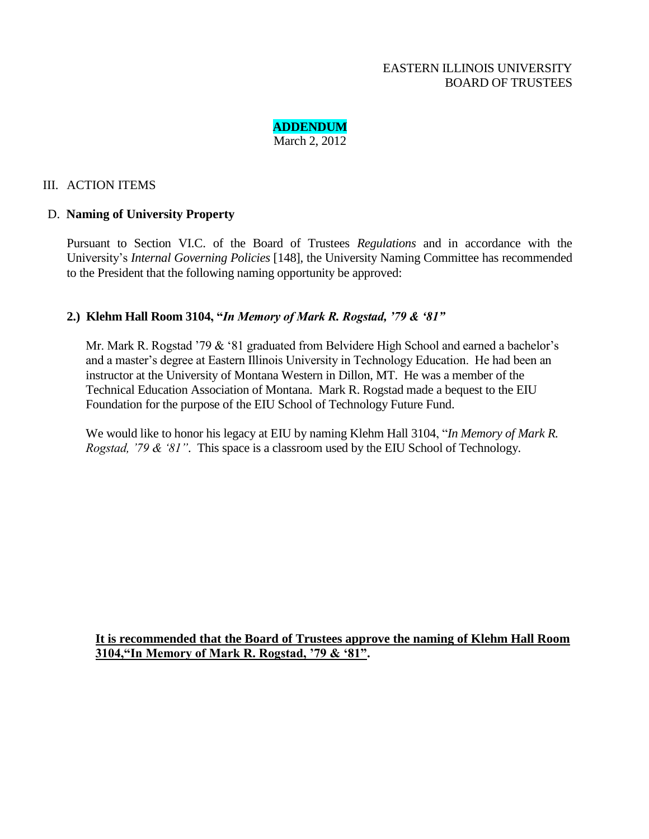

#### III. ACTION ITEMS

#### D. **Naming of University Property**

Pursuant to Section VI.C. of the Board of Trustees *Regulations* and in accordance with the University's *Internal Governing Policies* [148], the University Naming Committee has recommended to the President that the following naming opportunity be approved:

# **2.) Klehm Hall Room 3104, "***In Memory of Mark R. Rogstad, "79 & "81"*

Mr. Mark R. Rogstad '79 & '81 graduated from Belvidere High School and earned a bachelor's and a master's degree at Eastern Illinois University in Technology Education. He had been an instructor at the University of Montana Western in Dillon, MT. He was a member of the Technical Education Association of Montana. Mark R. Rogstad made a bequest to the EIU Foundation for the purpose of the EIU School of Technology Future Fund.

We would like to honor his legacy at EIU by naming Klehm Hall 3104, "*In Memory of Mark R. Rogstad, "79 & "81"*. This space is a classroom used by the EIU School of Technology.

**It is recommended that the Board of Trustees approve the naming of Klehm Hall Room 3104,"In Memory of Mark R. Rogstad, "79 & "81".**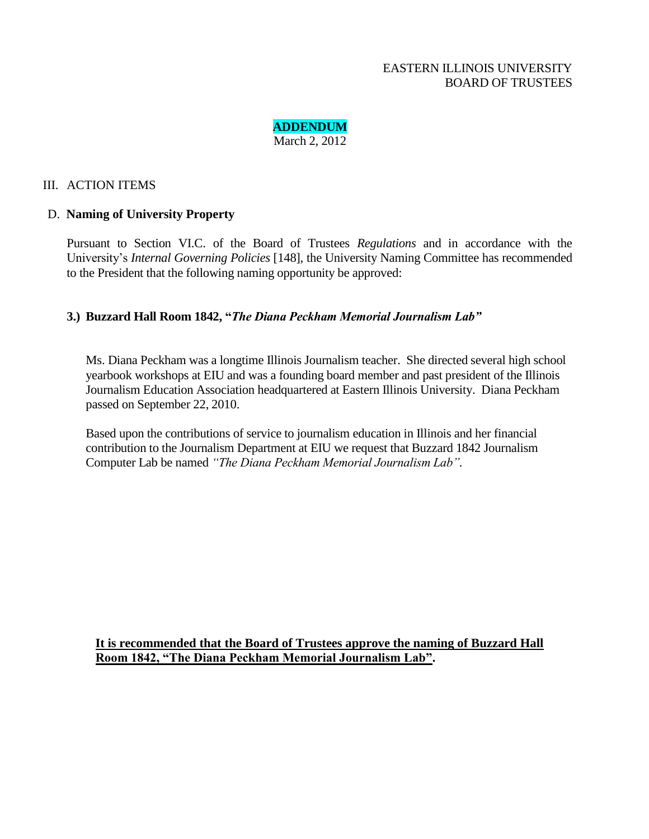

#### III. ACTION ITEMS

#### D. **Naming of University Property**

Pursuant to Section VI.C. of the Board of Trustees *Regulations* and in accordance with the University's *Internal Governing Policies* [148], the University Naming Committee has recommended to the President that the following naming opportunity be approved:

# **3.) Buzzard Hall Room 1842, "***The Diana Peckham Memorial Journalism Lab"*

Ms. Diana Peckham was a longtime Illinois Journalism teacher. She directed several high school yearbook workshops at EIU and was a founding board member and past president of the Illinois Journalism Education Association headquartered at Eastern Illinois University. Diana Peckham passed on September 22, 2010.

Based upon the contributions of service to journalism education in Illinois and her financial contribution to the Journalism Department at EIU we request that Buzzard 1842 Journalism Computer Lab be named *"The Diana Peckham Memorial Journalism Lab".*

**It is recommended that the Board of Trustees approve the naming of Buzzard Hall Room 1842, "The Diana Peckham Memorial Journalism Lab".**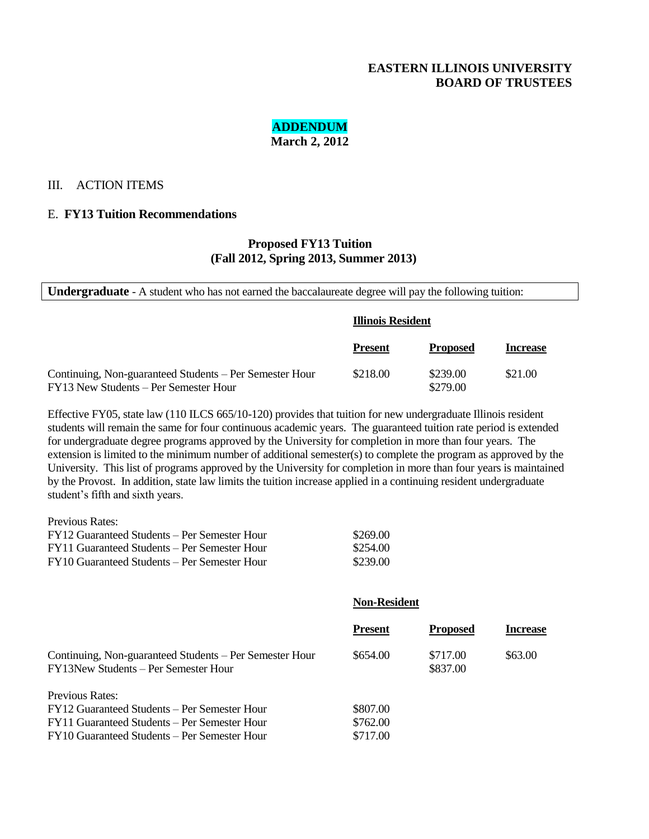# **ADDENDUM March 2, 2012**

#### III. ACTION ITEMS

#### E. **FY13 Tuition Recommendations**

#### **Proposed FY13 Tuition (Fall 2012, Spring 2013, Summer 2013)**

**Undergraduate** - A student who has not earned the baccalaureate degree will pay the following tuition:

|                                                                                                  | <b>Illinois Resident</b> |                      |                 |
|--------------------------------------------------------------------------------------------------|--------------------------|----------------------|-----------------|
|                                                                                                  | <b>Present</b>           | <b>Proposed</b>      | <b>Increase</b> |
| Continuing, Non-guaranteed Students – Per Semester Hour<br>FY13 New Students – Per Semester Hour | \$218.00                 | \$239.00<br>\$279.00 | \$21.00         |

Effective FY05, state law (110 ILCS 665/10-120) provides that tuition for new undergraduate Illinois resident students will remain the same for four continuous academic years. The guaranteed tuition rate period is extended for undergraduate degree programs approved by the University for completion in more than four years. The extension is limited to the minimum number of additional semester(s) to complete the program as approved by the University. This list of programs approved by the University for completion in more than four years is maintained by the Provost. In addition, state law limits the tuition increase applied in a continuing resident undergraduate student's fifth and sixth years.

| Previous Rates:                              |          |
|----------------------------------------------|----------|
| FY12 Guaranteed Students – Per Semester Hour | \$269.00 |
| FY11 Guaranteed Students – Per Semester Hour | \$254.00 |
| FY10 Guaranteed Students – Per Semester Hour | \$239.00 |

#### **Non-Resident**

|                                                                                                 | <b>Present</b> | <b>Proposed</b>      | <b>Increase</b> |
|-------------------------------------------------------------------------------------------------|----------------|----------------------|-----------------|
| Continuing, Non-guaranteed Students – Per Semester Hour<br>FY13New Students - Per Semester Hour | \$654.00       | \$717.00<br>\$837.00 | \$63.00         |
| Previous Rates:                                                                                 |                |                      |                 |
| FY12 Guaranteed Students – Per Semester Hour                                                    | \$807.00       |                      |                 |
| FY11 Guaranteed Students – Per Semester Hour                                                    | \$762.00       |                      |                 |
| FY10 Guaranteed Students – Per Semester Hour                                                    | \$717.00       |                      |                 |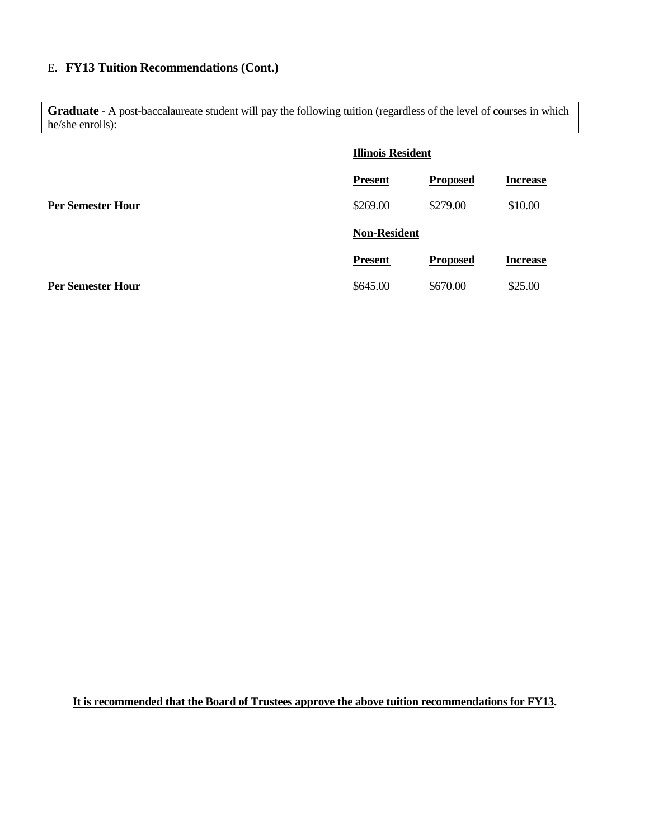# E. **FY13 Tuition Recommendations (Cont.)**

**Graduate -** A post-baccalaureate student will pay the following tuition (regardless of the level of courses in which he/she enrolls):

|                          | <b>Illinois Resident</b> |                 |                 |
|--------------------------|--------------------------|-----------------|-----------------|
|                          | <b>Present</b>           | <b>Proposed</b> | <b>Increase</b> |
| <b>Per Semester Hour</b> | \$269.00                 | \$279.00        | \$10.00         |
|                          | <b>Non-Resident</b>      |                 |                 |
|                          | <b>Present</b>           | <b>Proposed</b> | <b>Increase</b> |
| <b>Per Semester Hour</b> | \$645.00                 | \$670.00        | \$25.00         |

**It is recommended that the Board of Trustees approve the above tuition recommendations for FY13.**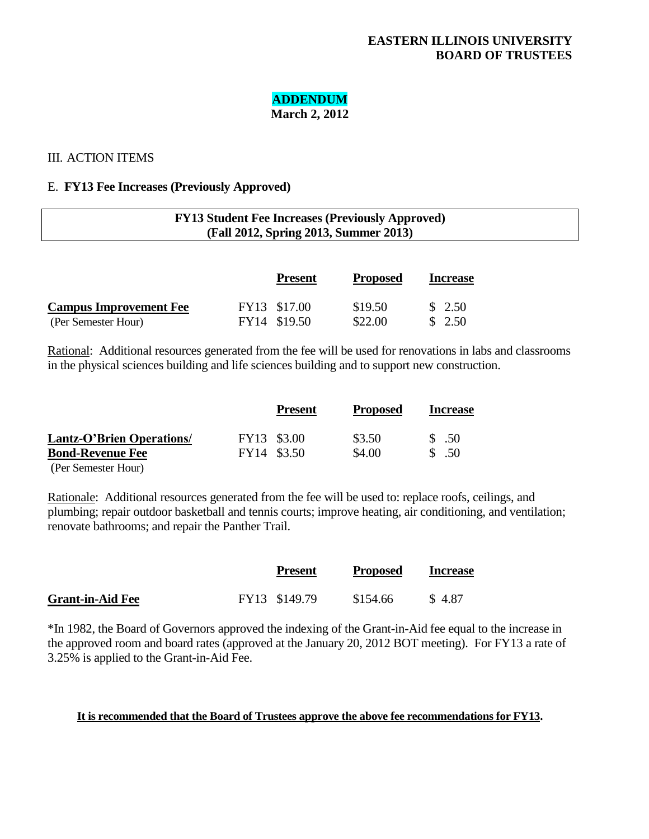# **ADDENDUM**

**March 2, 2012**

# III. ACTION ITEMS

# E. **FY13 Fee Increases (Previously Approved)**

| <b>FY13 Student Fee Increases (Previously Approved)</b> |  |
|---------------------------------------------------------|--|
| (Fall 2012, Spring 2013, Summer 2013)                   |  |
|                                                         |  |

|                               | <b>Present</b> | <b>Proposed</b> | <b>Increase</b> |
|-------------------------------|----------------|-----------------|-----------------|
| <b>Campus Improvement Fee</b> | FY13 \$17.00   | \$19.50         | \$2.50          |
| (Per Semester Hour)           | FY14 \$19.50   | \$22.00         | \$2.50          |

Rational: Additional resources generated from the fee will be used for renovations in labs and classrooms in the physical sciences building and life sciences building and to support new construction.

|                                  |             | <b>Present</b> | <b>Proposed</b> | <b>Increase</b> |
|----------------------------------|-------------|----------------|-----------------|-----------------|
| <b>Lantz-O'Brien Operations/</b> | FY13 \$3.00 |                | \$3.50          | \$ .50          |
| <b>Bond-Revenue Fee</b>          | FY14 \$3.50 |                | \$4.00          | \$ .50          |
| (Per Semester Hour)              |             |                |                 |                 |

Rationale: Additional resources generated from the fee will be used to: replace roofs, ceilings, and plumbing; repair outdoor basketball and tennis courts; improve heating, air conditioning, and ventilation; renovate bathrooms; and repair the Panther Trail.

|                         | <b>Present</b> | <b>Proposed</b> | <b>Increase</b> |
|-------------------------|----------------|-----------------|-----------------|
| <b>Grant-in-Aid Fee</b> | FY13 \$149.79  | \$154.66        | \$4.87          |

\*In 1982, the Board of Governors approved the indexing of the Grant-in-Aid fee equal to the increase in the approved room and board rates (approved at the January 20, 2012 BOT meeting). For FY13 a rate of 3.25% is applied to the Grant-in-Aid Fee.

#### **It is recommended that the Board of Trustees approve the above fee recommendations for FY13.**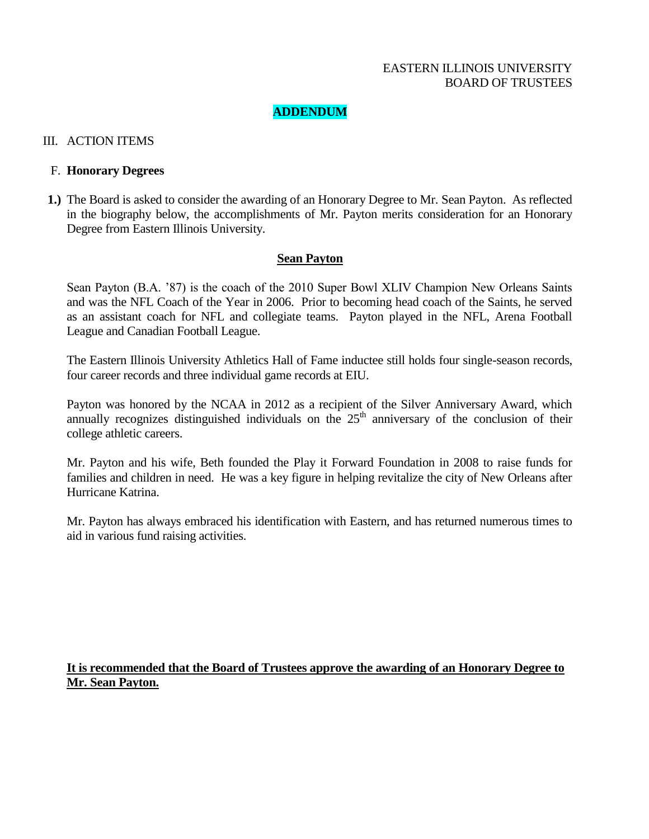# **ADDENDUM**

#### III. ACTION ITEMS

#### F. **Honorary Degrees**

**1.)** The Board is asked to consider the awarding of an Honorary Degree to Mr. Sean Payton. As reflected in the biography below, the accomplishments of Mr. Payton merits consideration for an Honorary Degree from Eastern Illinois University.

#### **Sean Payton**

Sean Payton (B.A. '87) is the coach of the 2010 Super Bowl XLIV Champion New Orleans Saints and was the NFL Coach of the Year in 2006. Prior to becoming head coach of the Saints, he served as an assistant coach for NFL and collegiate teams. Payton played in the NFL, Arena Football League and Canadian Football League.

The Eastern Illinois University Athletics Hall of Fame inductee still holds four single-season records, four career records and three individual game records at EIU.

Payton was honored by the NCAA in 2012 as a recipient of the Silver Anniversary Award, which annually recognizes distinguished individuals on the  $25<sup>th</sup>$  anniversary of the conclusion of their college athletic careers.

Mr. Payton and his wife, Beth founded the Play it Forward Foundation in 2008 to raise funds for families and children in need. He was a key figure in helping revitalize the city of New Orleans after Hurricane Katrina.

Mr. Payton has always embraced his identification with Eastern, and has returned numerous times to aid in various fund raising activities.

# **It is recommended that the Board of Trustees approve the awarding of an Honorary Degree to Mr. Sean Payton.**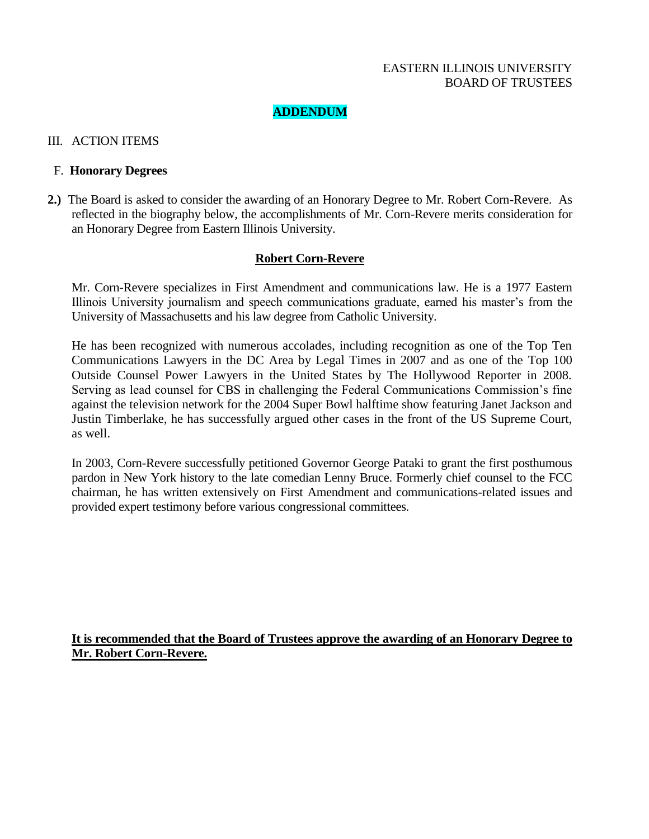# **ADDENDUM**

### III. ACTION ITEMS

#### F. **Honorary Degrees**

**2.)** The Board is asked to consider the awarding of an Honorary Degree to Mr. Robert Corn-Revere. As reflected in the biography below, the accomplishments of Mr. Corn-Revere merits consideration for an Honorary Degree from Eastern Illinois University.

# **Robert Corn-Revere**

Mr. Corn-Revere specializes in First Amendment and communications law. He is a 1977 Eastern Illinois University journalism and speech communications graduate, earned his master's from the University of Massachusetts and his law degree from Catholic University.

He has been recognized with numerous accolades, including recognition as one of the Top Ten Communications Lawyers in the DC Area by Legal Times in 2007 and as one of the Top 100 Outside Counsel Power Lawyers in the United States by The Hollywood Reporter in 2008. Serving as lead counsel for CBS in challenging the Federal Communications Commission's fine against the television network for the 2004 Super Bowl halftime show featuring Janet Jackson and Justin Timberlake, he has successfully argued other cases in the front of the US Supreme Court, as well.

In 2003, Corn-Revere successfully petitioned Governor George Pataki to grant the first posthumous pardon in New York history to the late comedian Lenny Bruce. Formerly chief counsel to the FCC chairman, he has written extensively on First Amendment and communications-related issues and provided expert testimony before various congressional committees.

**It is recommended that the Board of Trustees approve the awarding of an Honorary Degree to Mr. Robert Corn-Revere.**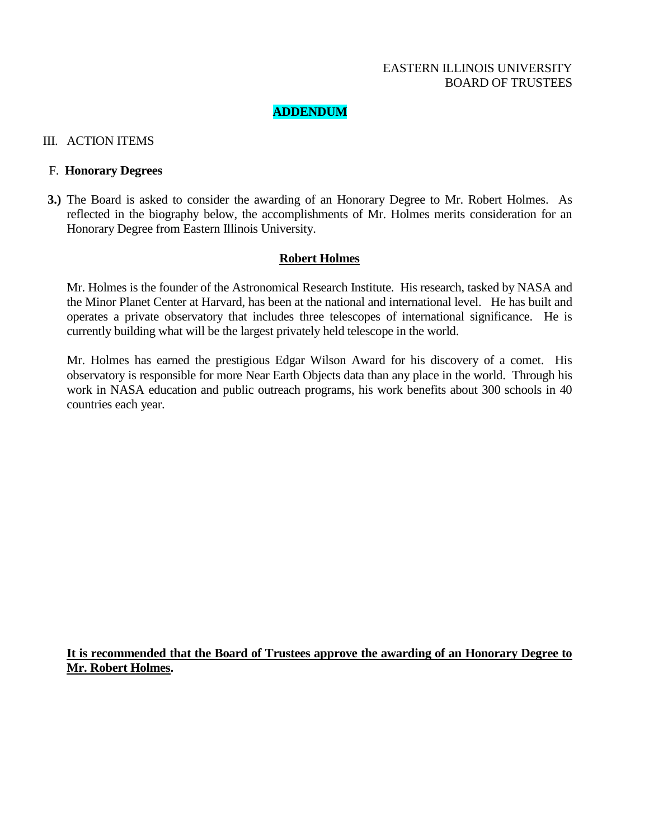# **ADDENDUM**

### III. ACTION ITEMS

#### F. **Honorary Degrees**

**3.)** The Board is asked to consider the awarding of an Honorary Degree to Mr. Robert Holmes. As reflected in the biography below, the accomplishments of Mr. Holmes merits consideration for an Honorary Degree from Eastern Illinois University.

#### **Robert Holmes**

Mr. Holmes is the founder of the Astronomical Research Institute. His research, tasked by NASA and the Minor Planet Center at Harvard, has been at the national and international level. He has built and operates a private observatory that includes three telescopes of international significance. He is currently building what will be the largest privately held telescope in the world.

Mr. Holmes has earned the prestigious Edgar Wilson Award for his discovery of a comet. His observatory is responsible for more Near Earth Objects data than any place in the world. Through his work in NASA education and public outreach programs, his work benefits about 300 schools in 40 countries each year.

**It is recommended that the Board of Trustees approve the awarding of an Honorary Degree to Mr. Robert Holmes.**